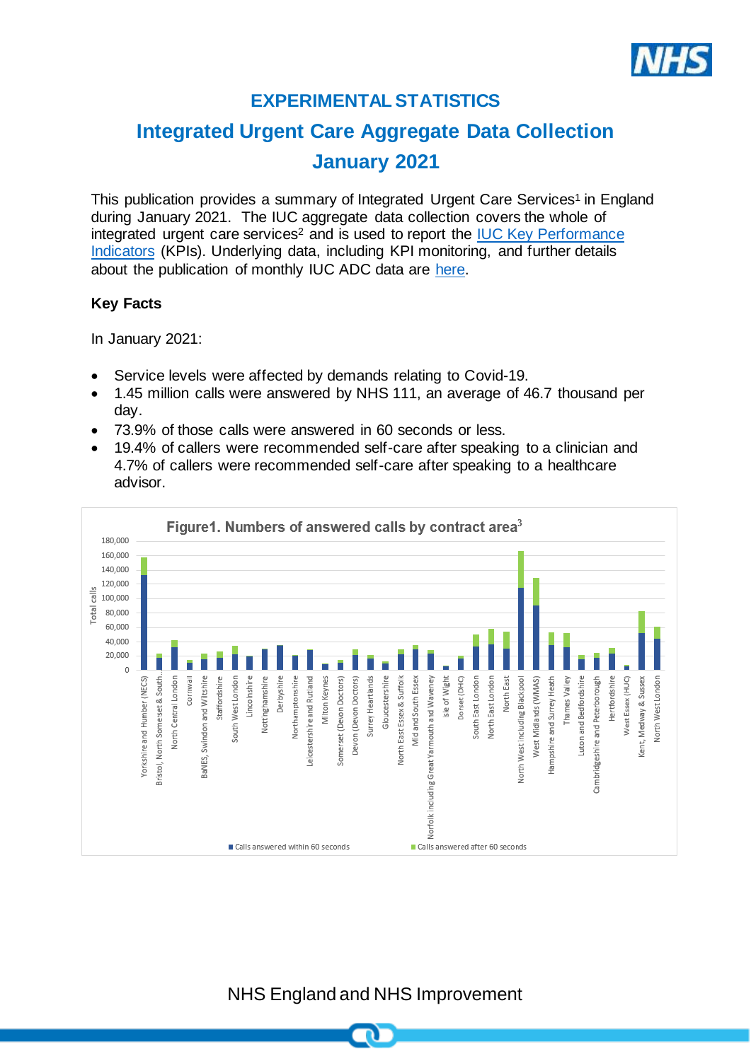

# **EXPERIMENTAL STATISTICS**

# **Integrated Urgent Care Aggregate Data Collection January 2021**

This publication provides a summary of Integrated Urgent Care Services<sup>1</sup> in England during January 2021. The IUC aggregate data collection covers the whole of integrated urgent care services<sup>2</sup> and is used to report the IUC Key Performance [Indicators](https://www.england.nhs.uk/publication/integrated-urgent-care-key-performance-indicators-and-quality-standards-2018/) (KPIs). Underlying data, including KPI monitoring, and further details about the publication of monthly IUC ADC data are [here.](https://www.england.nhs.uk/statistics/statistical-work-areas/nhs-111-minimum-data-set/integrated-urgent-care-aggregate-data-collection-iuc-adc/)

#### **Key Facts**

In January 2021:

- Service levels were affected by demands relating to Covid-19.
- 1.45 million calls were answered by NHS 111, an average of 46.7 thousand per day.
- 73.9% of those calls were answered in 60 seconds or less.
- 19.4% of callers were recommended self-care after speaking to a clinician and 4.7% of callers were recommended self-care after speaking to a healthcare advisor.



NHS England and NHS Improvement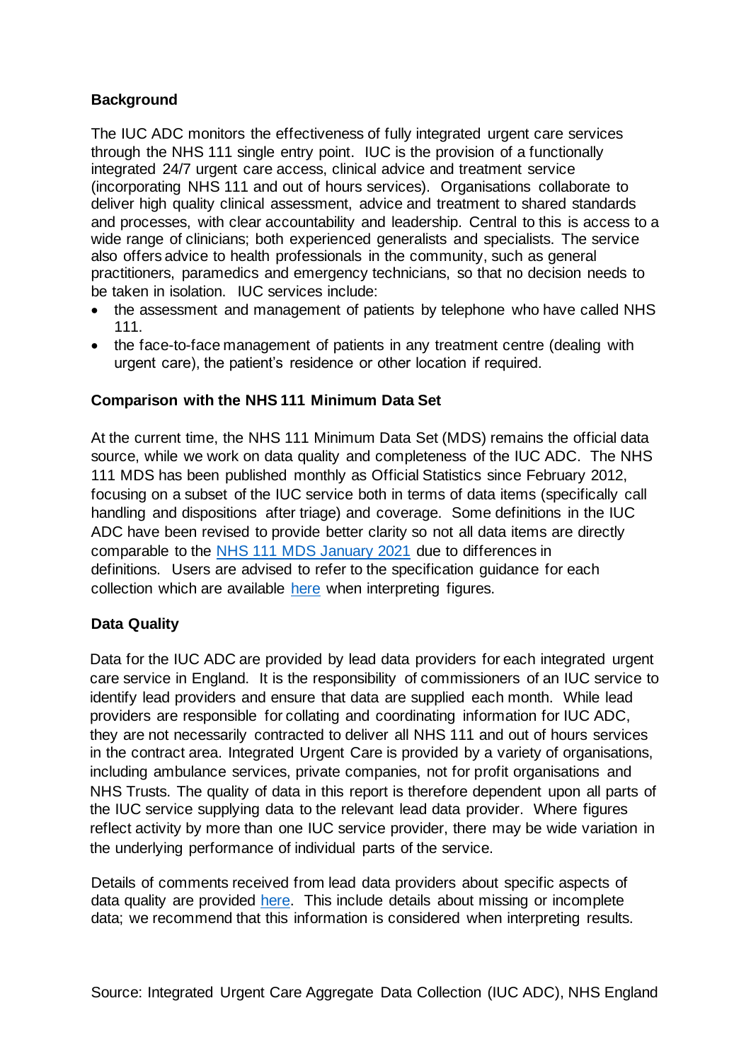### **Background**

The IUC ADC monitors the effectiveness of fully integrated urgent care services through the NHS 111 single entry point. IUC is the provision of a functionally integrated 24/7 urgent care access, clinical advice and treatment service (incorporating NHS 111 and out of hours services). Organisations collaborate to deliver high quality clinical assessment, advice and treatment to shared standards and processes, with clear accountability and leadership. Central to this is access to a wide range of clinicians; both experienced generalists and specialists. The service also offers advice to health professionals in the community, such as general practitioners, paramedics and emergency technicians, so that no decision needs to be taken in isolation. IUC services include:

- the assessment and management of patients by telephone who have called NHS 111.
- the face-to-face management of patients in any treatment centre (dealing with urgent care), the patient's residence or other location if required.

## **Comparison with the NHS 111 Minimum Data Set**

At the current time, the NHS 111 Minimum Data Set (MDS) remains the official data source, while we work on data quality and completeness of the IUC ADC. The NHS 111 MDS has been published monthly as Official Statistics since February 2012, focusing on a subset of the IUC service both in terms of data items (specifically call handling and dispositions after triage) and coverage. Some definitions in the IUC ADC have been revised to provide better clarity so not all data items are directly comparable to the [NHS 111 MDS January 2021](https://www.england.nhs.uk/statistics/wp-content/uploads/sites/2/2021/02/NHS-111-MDS-Feb-2021-Statistical-Note.pdf) due to differences in definitions. Users are advised to refer to the specification guidance for each collection which are available [here](https://www.england.nhs.uk/statistics/statistical-work-areas/nhs-111-minimum-data-set/integrated-urgent-care-aggregate-data-collection-iuc-adc/) when interpreting figures.

# **Data Quality**

Data for the IUC ADC are provided by lead data providers for each integrated urgent care service in England. It is the responsibility of commissioners of an IUC service to identify lead providers and ensure that data are supplied each month. While lead providers are responsible for collating and coordinating information for IUC ADC, they are not necessarily contracted to deliver all NHS 111 and out of hours services in the contract area. Integrated Urgent Care is provided by a variety of organisations, including ambulance services, private companies, not for profit organisations and NHS Trusts. The quality of data in this report is therefore dependent upon all parts of the IUC service supplying data to the relevant lead data provider. Where figures reflect activity by more than one IUC service provider, there may be wide variation in the underlying performance of individual parts of the service.

Details of comments received from lead data providers about specific aspects of data quality are provided [here.](https://www.england.nhs.uk/statistics/statistical-work-areas/nhs-111-minimum-data-set/integrated-urgent-care-aggregate-data-collection-iuc-adc/) This include details about missing or incomplete data; we recommend that this information is considered when interpreting results.